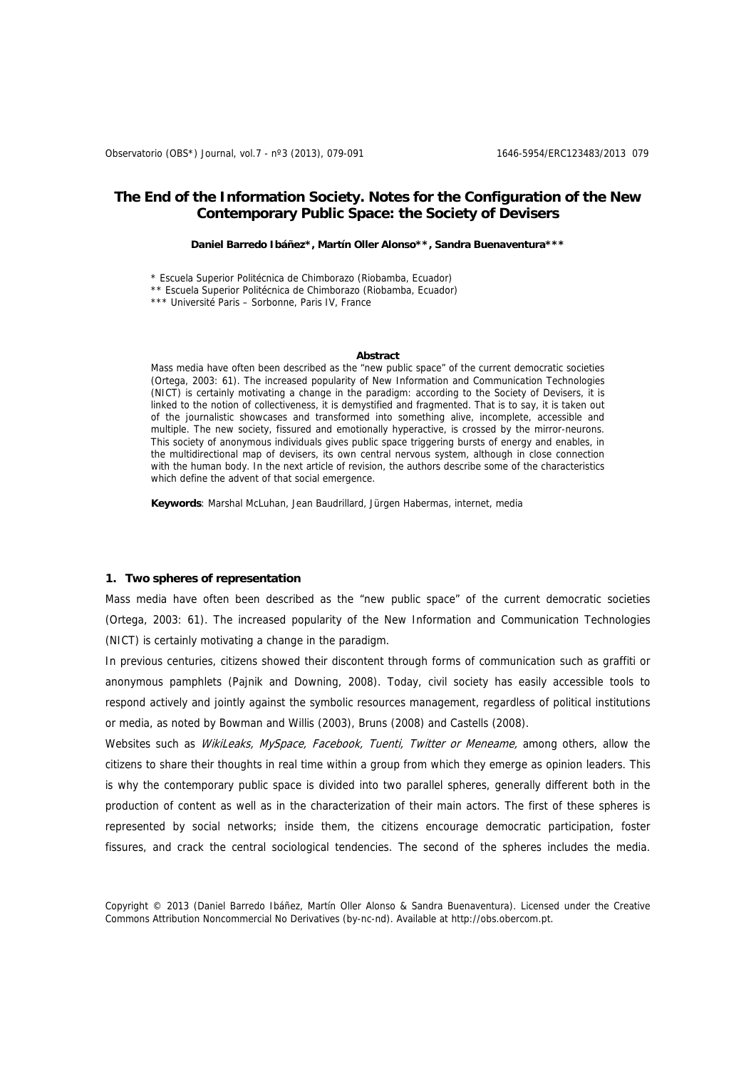# **The End of the Information Society. Notes for the Configuration of the New Contemporary Public Space: the Society of Devisers**

**Daniel Barredo Ibáñez\*, Martín Oller Alonso\*\*, Sandra Buenaventura\*\*\*** 

\* Escuela Superior Politécnica de Chimborazo (Riobamba, Ecuador)

\*\* Escuela Superior Politécnica de Chimborazo (Riobamba, Ecuador)

\*\*\* Université Paris – Sorbonne, Paris IV, France

#### **Abstract**

Mass media have often been described as the "new public space" of the current democratic societies (Ortega, 2003: 61). The increased popularity of New Information and Communication Technologies (NICT) is certainly motivating a change in the paradigm: according to the Society of Devisers, it is linked to the notion of collectiveness, it is demystified and fragmented. That is to say, it is taken out of the journalistic showcases and transformed into something alive, incomplete, accessible and multiple. The new society, fissured and emotionally hyperactive, is crossed by the mirror-neurons. This society of anonymous individuals gives public space triggering bursts of energy and enables, in the multidirectional map of devisers, its own central nervous system, although in close connection with the human body. In the next article of revision, the authors describe some of the characteristics which define the advent of that social emergence.

**Keywords**: Marshal McLuhan, Jean Baudrillard, Jürgen Habermas, internet, media

## **1. Two spheres of representation**

Mass media have often been described as the "new public space" of the current democratic societies (Ortega, 2003: 61). The increased popularity of the New Information and Communication Technologies (NICT) is certainly motivating a change in the paradigm.

In previous centuries, citizens showed their discontent through forms of communication such as graffiti or anonymous pamphlets (Pajnik and Downing, 2008). Today, civil society has easily accessible tools to respond actively and jointly against the symbolic resources management, regardless of political institutions or media, as noted by Bowman and Willis (2003), Bruns (2008) and Castells (2008).

Websites such as WikiLeaks, MySpace, Facebook, Tuenti, Twitter or Meneame, among others, allow the citizens to share their thoughts in real time within a group from which they emerge as opinion leaders. This is why the contemporary public space is divided into two parallel spheres, generally different both in the production of content as well as in the characterization of their main actors. The first of these spheres is represented by social networks; inside them, the citizens encourage democratic participation, foster fissures, and crack the central sociological tendencies. The second of the spheres includes the media.

Copyright © 2013 (Daniel Barredo Ibáñez, Martín Oller Alonso & Sandra Buenaventura). Licensed under the Creative Commons Attribution Noncommercial No Derivatives (by-nc-nd). Available at http://obs.obercom.pt.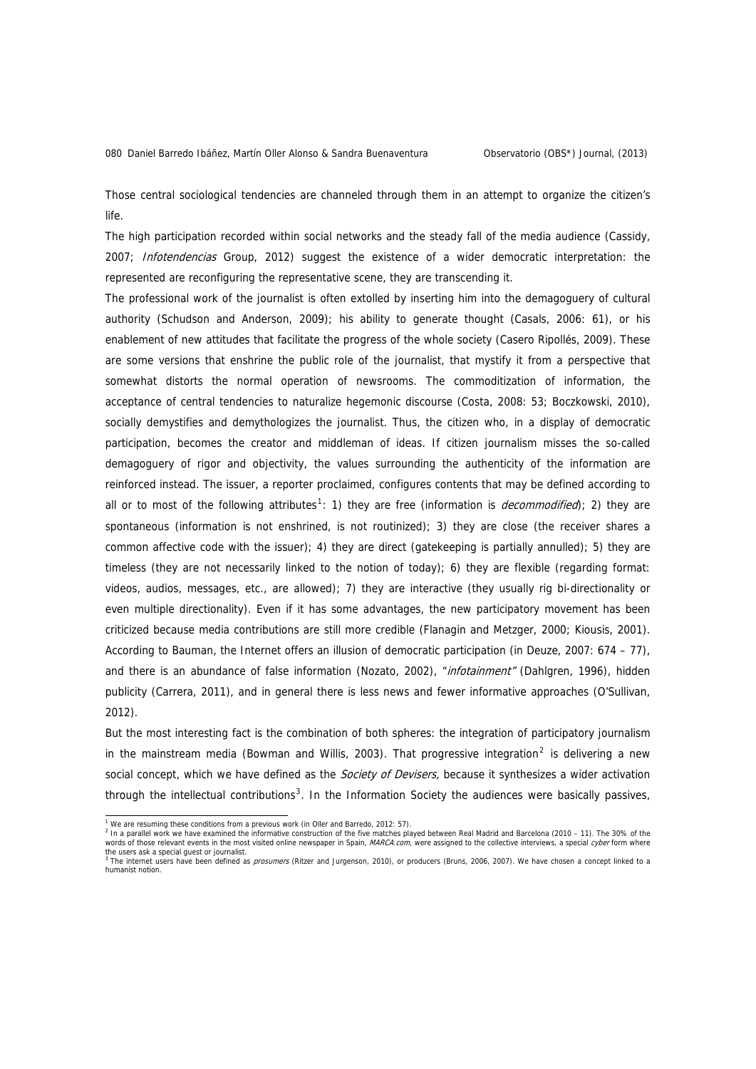Those central sociological tendencies are channeled through them in an attempt to organize the citizen's life.

The high participation recorded within social networks and the steady fall of the media audience (Cassidy, 2007; Infotendencias Group, 2012) suggest the existence of a wider democratic interpretation: the represented are reconfiguring the representative scene, they are transcending it.

The professional work of the journalist is often extolled by inserting him into the demagoguery of cultural authority (Schudson and Anderson, 2009); his ability to generate thought (Casals, 2006: 61), or his enablement of new attitudes that facilitate the progress of the whole society (Casero Ripollés, 2009). These are some versions that enshrine the public role of the journalist, that mystify it from a perspective that somewhat distorts the normal operation of newsrooms. The commoditization of information, the acceptance of central tendencies to naturalize hegemonic discourse (Costa, 2008: 53; Boczkowski, 2010), socially demystifies and demythologizes the journalist. Thus, the citizen who, in a display of democratic participation, becomes the creator and middleman of ideas. If citizen journalism misses the so-called demagoguery of rigor and objectivity, the values surrounding the authenticity of the information are reinforced instead. The issuer, a reporter proclaimed, configures contents that may be defined according to all or to most of the following attributes<sup>[1](#page-1-0)</sup>: 1) they are free (information is *decommodified*); 2) they are spontaneous (information is not enshrined, is not routinized); 3) they are close (the receiver shares a common affective code with the issuer); 4) they are direct (gatekeeping is partially annulled); 5) they are timeless (they are not necessarily linked to the notion of today); 6) they are flexible (regarding format: videos, audios, messages, etc., are allowed); 7) they are interactive (they usually rig bi-directionality or even multiple directionality). Even if it has some advantages, the new participatory movement has been criticized because media contributions are still more credible (Flanagin and Metzger, 2000; Kiousis, 2001). According to Bauman, the Internet offers an illusion of democratic participation (in Deuze, 2007: 674 – 77), and there is an abundance of false information (Nozato, 2002), "infotainment" (Dahlgren, 1996), hidden publicity (Carrera, 2011), and in general there is less news and fewer informative approaches (O'Sullivan, 2012).

But the most interesting fact is the combination of both spheres: the integration of participatory journalism in the mainstream media (Bowman and Willis, [2](#page-1-1)003). That progressive integration<sup>2</sup> is delivering a new social concept, which we have defined as the *Society of Devisers*, because it synthesizes a wider activation through the intellectual contributions<sup>[3](#page-1-2)</sup>. In the Information Society the audiences were basically passives,

<sup>1&</sup>lt;br>We are resuming these conditions from a previous work (in Oller and Barredo, 2012: 57).

<span id="page-1-1"></span><span id="page-1-0"></span><sup>&</sup>lt;sup>2</sup> In a parallel work we have examined the informative construction of the five matches played between Real Madrid and Barcelona (2010 – 11). The 30% of the words of those relevant events in the most visited online newspaper in Spain, MARCA.com, were assigned to the collective interviews, a special cyber form where

<span id="page-1-2"></span>the users ask a special guest or journalist.<br><sup>3</sup> The internet users have been defined as *prosumers* (Ritzer and Jurgenson, 2010), or producers (Bruns, 2006, 2007). We have chosen a concept linked to a humanist notion.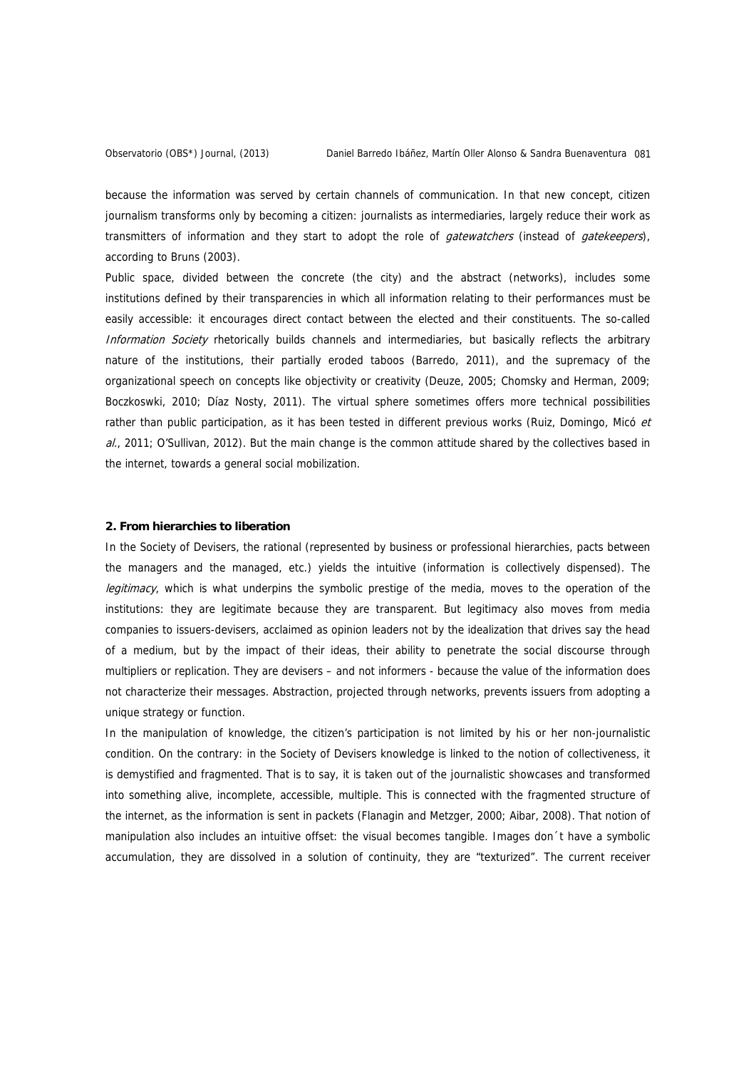because the information was served by certain channels of communication. In that new concept, citizen journalism transforms only by becoming a citizen: journalists as intermediaries, largely reduce their work as transmitters of information and they start to adopt the role of *gatewatchers* (instead of *gatekeepers*), according to Bruns (2003).

Public space, divided between the concrete (the city) and the abstract (networks), includes some institutions defined by their transparencies in which all information relating to their performances must be easily accessible: it encourages direct contact between the elected and their constituents. The so-called Information Society rhetorically builds channels and intermediaries, but basically reflects the arbitrary nature of the institutions, their partially eroded taboos (Barredo, 2011), and the supremacy of the organizational speech on concepts like objectivity or creativity (Deuze, 2005; Chomsky and Herman, 2009; Boczkoswki, 2010; Díaz Nosty, 2011). The virtual sphere sometimes offers more technical possibilities rather than public participation, as it has been tested in different previous works (Ruiz, Domingo, Micó et al., 2011; O'Sullivan, 2012). But the main change is the common attitude shared by the collectives based in the internet, towards a general social mobilization.

### **2. From hierarchies to liberation**

In the Society of Devisers, the rational (represented by business or professional hierarchies, pacts between the managers and the managed, etc.) yields the intuitive (information is collectively dispensed). The legitimacy, which is what underpins the symbolic prestige of the media, moves to the operation of the institutions: they are legitimate because they are transparent. But legitimacy also moves from media companies to issuers-devisers, acclaimed as opinion leaders not by the idealization that drives say the head of a medium, but by the impact of their ideas, their ability to penetrate the social discourse through multipliers or replication. They are devisers – and not informers - because the value of the information does not characterize their messages. Abstraction, projected through networks, prevents issuers from adopting a unique strategy or function.

In the manipulation of knowledge, the citizen's participation is not limited by his or her non-journalistic condition. On the contrary: in the Society of Devisers knowledge is linked to the notion of collectiveness, it is demystified and fragmented. That is to say, it is taken out of the journalistic showcases and transformed into something alive, incomplete, accessible, multiple. This is connected with the fragmented structure of the internet, as the information is sent in packets (Flanagin and Metzger, 2000; Aibar, 2008). That notion of manipulation also includes an intuitive offset: the visual becomes tangible. Images don´t have a symbolic accumulation, they are dissolved in a solution of continuity, they are "texturized". The current receiver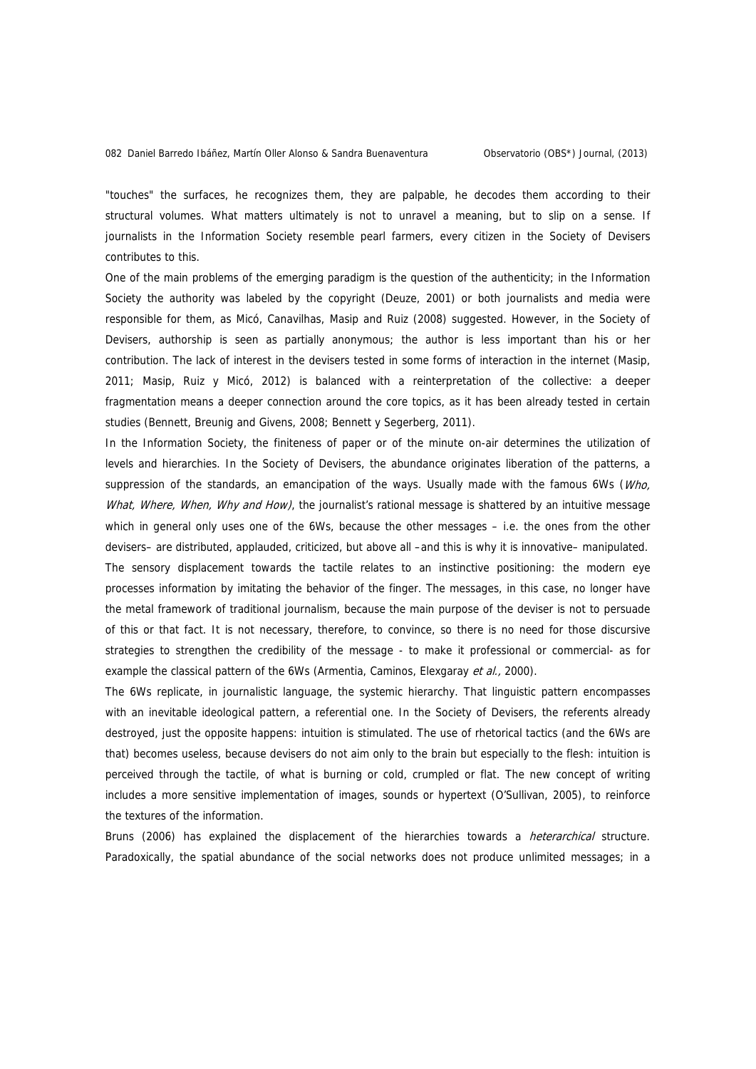"touches" the surfaces, he recognizes them, they are palpable, he decodes them according to their structural volumes. What matters ultimately is not to unravel a meaning, but to slip on a sense. If journalists in the Information Society resemble pearl farmers, every citizen in the Society of Devisers contributes to this.

One of the main problems of the emerging paradigm is the question of the authenticity; in the Information Society the authority was labeled by the copyright (Deuze, 2001) or both journalists and media were responsible for them, as Micó, Canavilhas, Masip and Ruiz (2008) suggested. However, in the Society of Devisers, authorship is seen as partially anonymous; the author is less important than his or her contribution. The lack of interest in the devisers tested in some forms of interaction in the internet (Masip, 2011; Masip, Ruiz y Micó, 2012) is balanced with a reinterpretation of the collective: a deeper fragmentation means a deeper connection around the core topics, as it has been already tested in certain studies (Bennett, Breunig and Givens, 2008; Bennett y Segerberg, 2011).

In the Information Society, the finiteness of paper or of the minute on-air determines the utilization of levels and hierarchies. In the Society of Devisers, the abundance originates liberation of the patterns, a suppression of the standards, an emancipation of the ways. Usually made with the famous 6Ws (Who, What, Where, When, Why and How), the journalist's rational message is shattered by an intuitive message which in general only uses one of the 6Ws, because the other messages – i.e. the ones from the other devisers– are distributed, applauded, criticized, but above all –and this is why it is innovative– manipulated. The sensory displacement towards the tactile relates to an instinctive positioning: the modern eye processes information by imitating the behavior of the finger. The messages, in this case, no longer have the metal framework of traditional journalism, because the main purpose of the deviser is not to persuade of this or that fact. It is not necessary, therefore, to convince, so there is no need for those discursive strategies to strengthen the credibility of the message - to make it professional or commercial- as for example the classical pattern of the 6Ws (Armentia, Caminos, Elexgaray et al., 2000).

The 6Ws replicate, in journalistic language, the systemic hierarchy. That linguistic pattern encompasses with an inevitable ideological pattern, a referential one. In the Society of Devisers, the referents already destroyed, just the opposite happens: intuition is stimulated. The use of rhetorical tactics (and the 6Ws are that) becomes useless, because devisers do not aim only to the brain but especially to the flesh: intuition is perceived through the tactile, of what is burning or cold, crumpled or flat. The new concept of writing includes a more sensitive implementation of images, sounds or hypertext (O'Sullivan, 2005), to reinforce the textures of the information.

Bruns (2006) has explained the displacement of the hierarchies towards a *heterarchical* structure. Paradoxically, the spatial abundance of the social networks does not produce unlimited messages; in a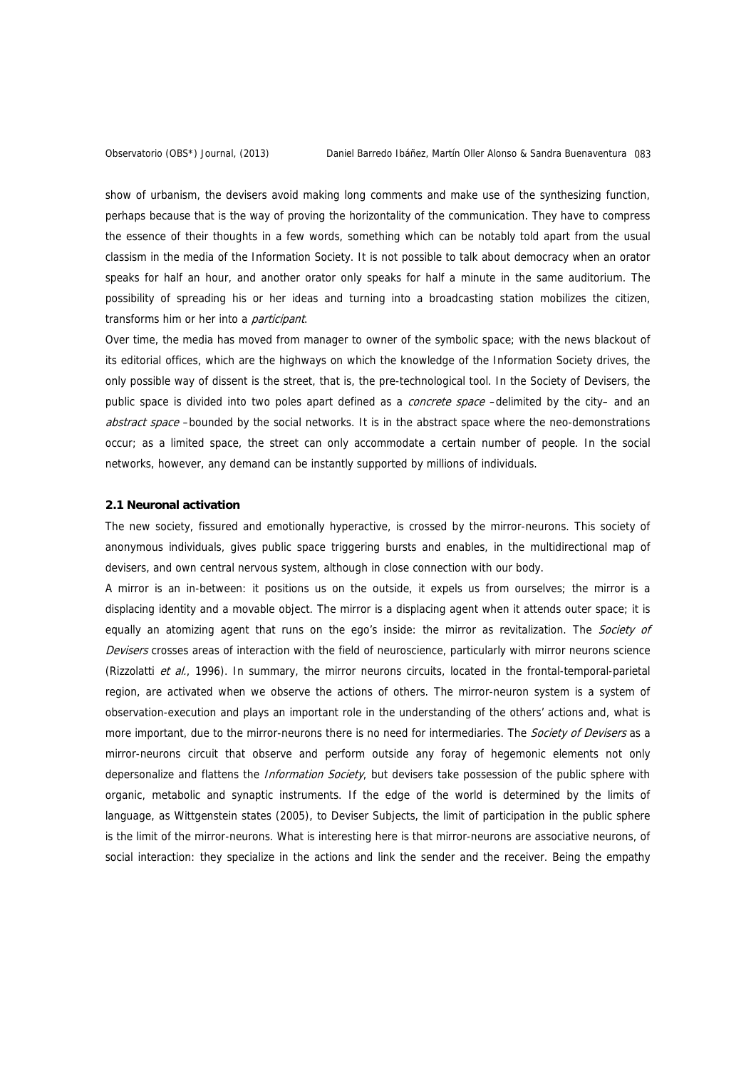show of urbanism, the devisers avoid making long comments and make use of the synthesizing function, perhaps because that is the way of proving the horizontality of the communication. They have to compress the essence of their thoughts in a few words, something which can be notably told apart from the usual classism in the media of the Information Society. It is not possible to talk about democracy when an orator speaks for half an hour, and another orator only speaks for half a minute in the same auditorium. The possibility of spreading his or her ideas and turning into a broadcasting station mobilizes the citizen, transforms him or her into a *participant*.

Over time, the media has moved from manager to owner of the symbolic space; with the news blackout of its editorial offices, which are the highways on which the knowledge of the Information Society drives, the only possible way of dissent is the street, that is, the pre-technological tool. In the Society of Devisers, the public space is divided into two poles apart defined as a *concrete space* –delimited by the city– and an abstract space –bounded by the social networks. It is in the abstract space where the neo-demonstrations occur; as a limited space, the street can only accommodate a certain number of people. In the social networks, however, any demand can be instantly supported by millions of individuals.

#### **2.1 Neuronal activation**

The new society, fissured and emotionally hyperactive, is crossed by the mirror-neurons. This society of anonymous individuals, gives public space triggering bursts and enables, in the multidirectional map of devisers, and own central nervous system, although in close connection with our body.

A mirror is an in-between: it positions us on the outside, it expels us from ourselves; the mirror is a displacing identity and a movable object. The mirror is a displacing agent when it attends outer space; it is equally an atomizing agent that runs on the ego's inside: the mirror as revitalization. The Society of Devisers crosses areas of interaction with the field of neuroscience, particularly with mirror neurons science (Rizzolatti et al., 1996). In summary, the mirror neurons circuits, located in the frontal-temporal-parietal region, are activated when we observe the actions of others. The mirror-neuron system is a system of observation-execution and plays an important role in the understanding of the others' actions and, what is more important, due to the mirror-neurons there is no need for intermediaries. The *Society of Devisers* as a mirror-neurons circuit that observe and perform outside any foray of hegemonic elements not only depersonalize and flattens the *Information Society*, but devisers take possession of the public sphere with organic, metabolic and synaptic instruments. If the edge of the world is determined by the limits of language, as Wittgenstein states (2005), to Deviser Subjects, the limit of participation in the public sphere is the limit of the mirror-neurons. What is interesting here is that mirror-neurons are associative neurons, of social interaction: they specialize in the actions and link the sender and the receiver. Being the empathy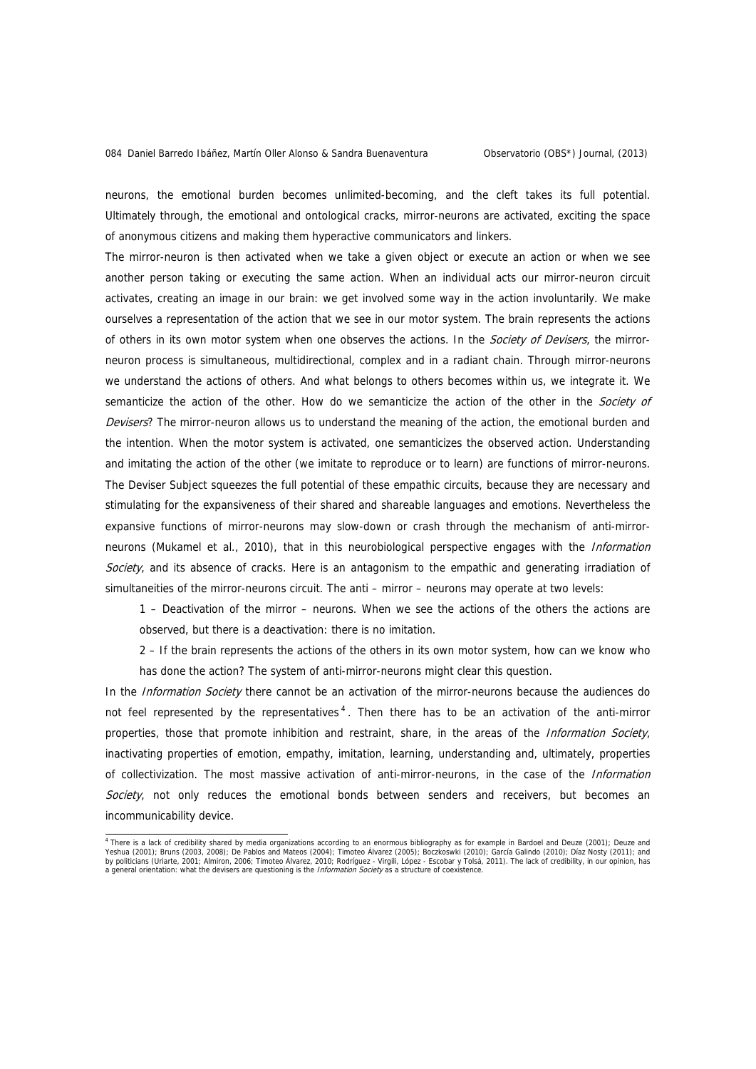neurons, the emotional burden becomes unlimited-becoming, and the cleft takes its full potential. Ultimately through, the emotional and ontological cracks, mirror-neurons are activated, exciting the space of anonymous citizens and making them hyperactive communicators and linkers.

The mirror-neuron is then activated when we take a given object or execute an action or when we see another person taking or executing the same action. When an individual acts our mirror-neuron circuit activates, creating an image in our brain: we get involved some way in the action involuntarily. We make ourselves a representation of the action that we see in our motor system. The brain represents the actions of others in its own motor system when one observes the actions. In the Society of Devisers, the mirrorneuron process is simultaneous, multidirectional, complex and in a radiant chain. Through mirror-neurons we understand the actions of others. And what belongs to others becomes within us, we integrate it. We semanticize the action of the other. How do we semanticize the action of the other in the Society of Devisers? The mirror-neuron allows us to understand the meaning of the action, the emotional burden and the intention. When the motor system is activated, one semanticizes the observed action. Understanding and imitating the action of the other (we imitate to reproduce or to learn) are functions of mirror-neurons. The Deviser Subject squeezes the full potential of these empathic circuits, because they are necessary and stimulating for the expansiveness of their shared and shareable languages and emotions. Nevertheless the expansive functions of mirror-neurons may slow-down or crash through the mechanism of anti-mirrorneurons (Mukamel et al., 2010), that in this neurobiological perspective engages with the Information Society, and its absence of cracks. Here is an antagonism to the empathic and generating irradiation of simultaneities of the mirror-neurons circuit. The anti – mirror – neurons may operate at two levels:

1 – Deactivation of the mirror – neurons. When we see the actions of the others the actions are observed, but there is a deactivation: there is no imitation.

2 – If the brain represents the actions of the others in its own motor system, how can we know who has done the action? The system of anti-mirror-neurons might clear this question.

In the *Information Society* there cannot be an activation of the mirror-neurons because the audiences do not feel represented by the representatives<sup>[4](#page-5-0)</sup>. Then there has to be an activation of the anti-mirror properties, those that promote inhibition and restraint, share, in the areas of the *Information Society*, inactivating properties of emotion, empathy, imitation, learning, understanding and, ultimately, properties of collectivization. The most massive activation of anti-mirror-neurons, in the case of the *Information* Society, not only reduces the emotional bonds between senders and receivers, but becomes an incommunicability device.

<span id="page-5-0"></span><sup>&</sup>lt;sup>4</sup> There is a lack of credibility shared by media organizations according to an enormous bibliography as for example in Bardoel and Deuze (2001); Deuze and<br>Yeshua (2001); Bruns (2003, 2008); De Pablos and Mateos (2004); T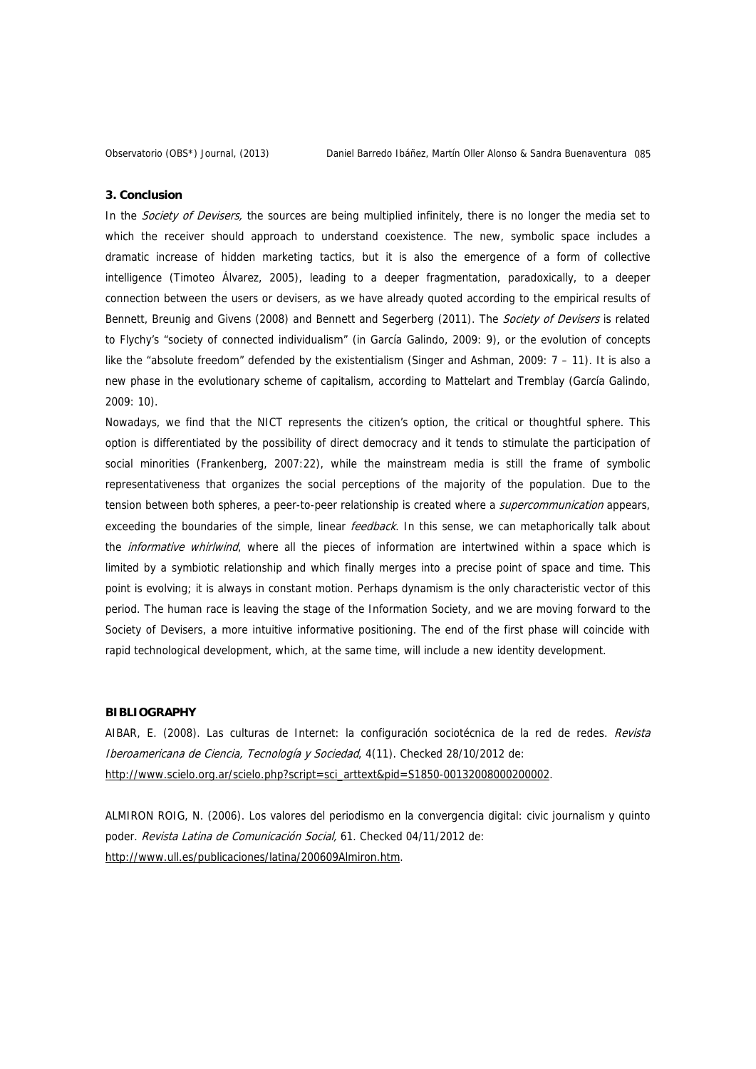#### **3. Conclusion**

In the Society of Devisers, the sources are being multiplied infinitely, there is no longer the media set to which the receiver should approach to understand coexistence. The new, symbolic space includes a dramatic increase of hidden marketing tactics, but it is also the emergence of a form of collective intelligence (Timoteo Álvarez, 2005), leading to a deeper fragmentation, paradoxically, to a deeper connection between the users or devisers, as we have already quoted according to the empirical results of Bennett, Breunig and Givens (2008) and Bennett and Segerberg (2011). The Society of Devisers is related to Flychy's "society of connected individualism" (in García Galindo, 2009: 9), or the evolution of concepts like the "absolute freedom" defended by the existentialism (Singer and Ashman, 2009: 7 – 11). It is also a new phase in the evolutionary scheme of capitalism, according to Mattelart and Tremblay (García Galindo, 2009: 10).

Nowadays, we find that the NICT represents the citizen's option, the critical or thoughtful sphere. This option is differentiated by the possibility of direct democracy and it tends to stimulate the participation of social minorities (Frankenberg, 2007:22), while the mainstream media is still the frame of symbolic representativeness that organizes the social perceptions of the majority of the population. Due to the tension between both spheres, a peer-to-peer relationship is created where a *supercommunication* appears, exceeding the boundaries of the simple, linear feedback. In this sense, we can metaphorically talk about the *informative whirlwind*, where all the pieces of information are intertwined within a space which is limited by a symbiotic relationship and which finally merges into a precise point of space and time. This point is evolving; it is always in constant motion. Perhaps dynamism is the only characteristic vector of this period. The human race is leaving the stage of the Information Society, and we are moving forward to the Society of Devisers, a more intuitive informative positioning. The end of the first phase will coincide with rapid technological development, which, at the same time, will include a new identity development.

# **BIBLIOGRAPHY**

AIBAR, E. (2008). Las culturas de Internet: la configuración sociotécnica de la red de redes. Revista Iberoamericana de Ciencia, Tecnología y Sociedad, 4(11). Checked 28/10/2012 de: [http://www.scielo.org.ar/scielo.php?script=sci\\_arttext&pid=S1850-00132008000200002.](http://www.scielo.org.ar/scielo.php?script=sci_arttext&pid=S1850-00132008000200002)

ALMIRON ROIG, N. (2006). Los valores del periodismo en la convergencia digital: civic journalism y quinto poder. Revista Latina de Comunicación Social, 61. Checked 04/11/2012 de: <http://www.ull.es/publicaciones/latina/200609Almiron.htm>.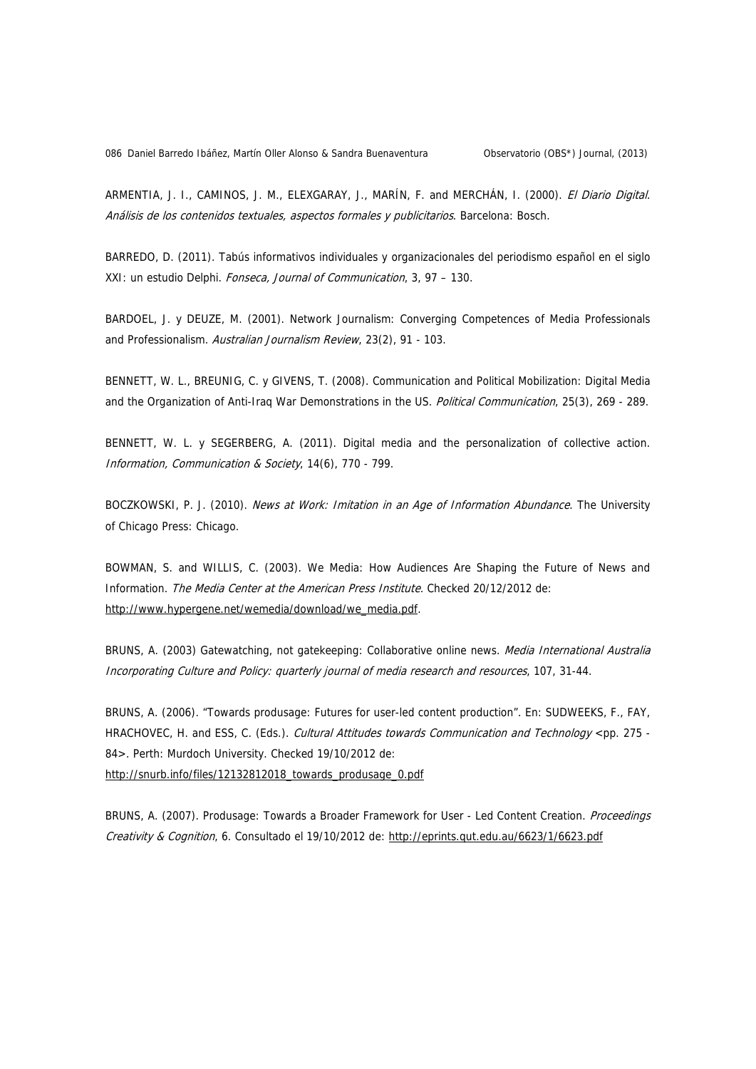086 Daniel Barredo Ibáñez, Martín Oller Alonso & Sandra Buenaventura Observatorio (OBS\*) Journal, (2013)

ARMENTIA, J. I., CAMINOS, J. M., ELEXGARAY, J., MARÍN, F. and MERCHÁN, I. (2000). El Diario Digital. Análisis de los contenidos textuales, aspectos formales y publicitarios. Barcelona: Bosch.

BARREDO, D. (2011). Tabús informativos individuales y organizacionales del periodismo español en el siglo XXI: un estudio Delphi. Fonseca, Journal of Communication, 3, 97 – 130.

BARDOEL, J. y DEUZE, M. (2001). Network Journalism: Converging Competences of Media Professionals and Professionalism. Australian Journalism Review, 23(2), 91 - 103.

BENNETT, W. L., BREUNIG, C. y GIVENS, T. (2008). Communication and Political Mobilization: Digital Media and the Organization of Anti-Iraq War Demonstrations in the US. Political Communication, 25(3), 269 - 289.

BENNETT, W. L. y SEGERBERG, A. (2011). Digital media and the personalization of collective action. Information, Communication & Society, 14(6), 770 - 799.

BOCZKOWSKI, P. J. (2010). News at Work: Imitation in an Age of Information Abundance. The University of Chicago Press: Chicago.

BOWMAN, S. and WILLIS, C. (2003). We Media: How Audiences Are Shaping the Future of News and Information. The Media Center at the American Press Institute. Checked 20/12/2012 de: [http://www.hypergene.net/wemedia/download/we\\_media.pdf](http://www.hypergene.net/wemedia/download/we_media.pdf).

BRUNS, A. (2003) Gatewatching, not gatekeeping: Collaborative online news. Media International Australia Incorporating Culture and Policy: quarterly journal of media research and resources, 107, 31-44.

BRUNS, A. (2006). "Towards produsage: Futures for user-led content production". En: SUDWEEKS, F., FAY, HRACHOVEC, H. and ESS, C. (Eds.). Cultural Attitudes towards Communication and Technology <pp. 275 -84>. Perth: Murdoch University. Checked 19/10/2012 de: [http://snurb.info/files/12132812018\\_towards\\_produsage\\_0.pdf](http://snurb.info/files/12132812018_towards_produsage_0.pdf)

BRUNS, A. (2007). Produsage: Towards a Broader Framework for User - Led Content Creation. *Proceedings* Creativity & Cognition, 6. Consultado el 19/10/2012 de:<http://eprints.qut.edu.au/6623/1/6623.pdf>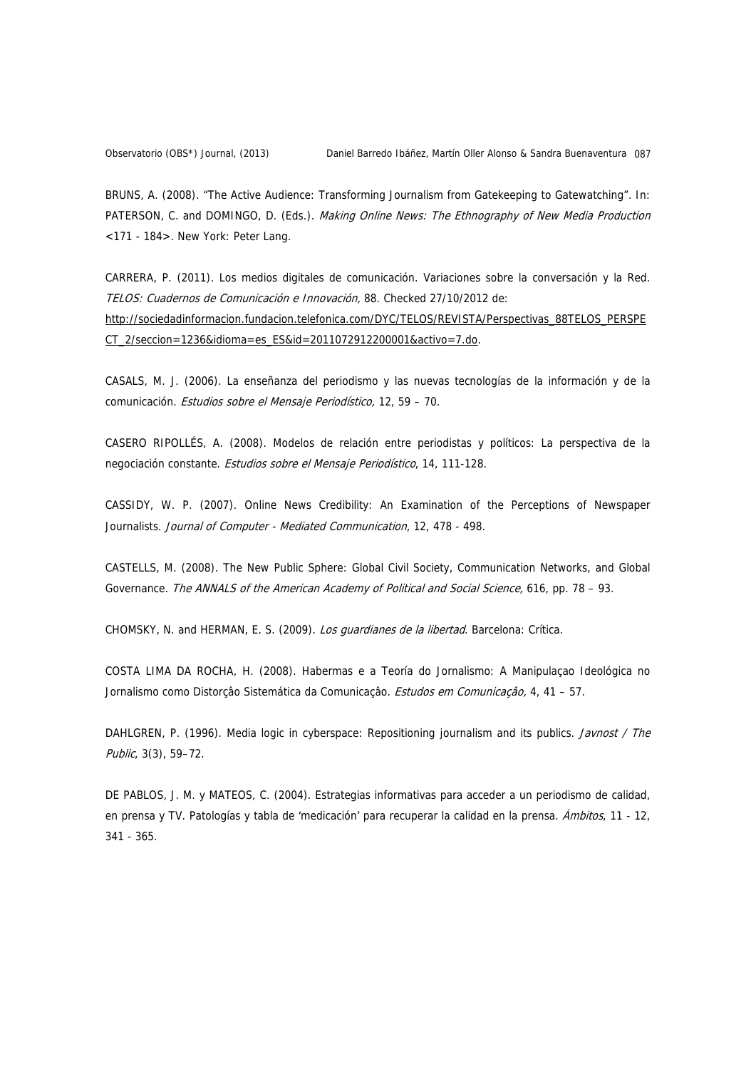BRUNS, A. (2008). "The Active Audience: Transforming Journalism from Gatekeeping to Gatewatching". In: PATERSON, C. and DOMINGO, D. (Eds.). Making Online News: The Ethnography of New Media Production <171 - 184>. New York: Peter Lang.

CARRERA, P. (2011). Los medios digitales de comunicación. Variaciones sobre la conversación y la Red. TELOS: Cuadernos de Comunicación e Innovación, 88. Checked 27/10/2012 de: [http://sociedadinformacion.fundacion.telefonica.com/DYC/TELOS/REVISTA/Perspectivas\\_88TELOS\\_PERSPE](http://sociedadinformacion.fundacion.telefonica.com/DYC/TELOS/REVISTA/Perspectivas_88TELOS_PERSPECT_2/seccion=1236&idioma=es_ES&id=2011072912200001&activo=7.do) [CT\\_2/seccion=1236&idioma=es\\_ES&id=2011072912200001&activo=7.do](http://sociedadinformacion.fundacion.telefonica.com/DYC/TELOS/REVISTA/Perspectivas_88TELOS_PERSPECT_2/seccion=1236&idioma=es_ES&id=2011072912200001&activo=7.do).

CASALS, M. J. (2006). La enseñanza del periodismo y las nuevas tecnologías de la información y de la comunicación. Estudios sobre el Mensaje Periodístico, 12, 59 – 70.

CASERO RIPOLLÉS, A. (2008). Modelos de relación entre periodistas y políticos: La perspectiva de la negociación constante. Estudios sobre el Mensaje Periodístico, 14, 111-128.

CASSIDY, W. P. (2007). Online News Credibility: An Examination of the Perceptions of Newspaper Journalists. Journal of Computer - Mediated Communication, 12, 478 - 498.

CASTELLS, M. (2008). The New Public Sphere: Global Civil Society, Communication Networks, and Global Governance. The ANNALS of the American Academy of Political and Social Science, 616, pp. 78 - 93.

CHOMSKY, N. and HERMAN, E. S. (2009). Los guardianes de la libertad. Barcelona: Crítica.

COSTA LIMA DA ROCHA, H. (2008). Habermas e a Teoría do Jornalismo: A Manipulaçao Ideológica no Jornalismo como Distorção Sistemática da Comunicação. *Estudos em Comunicação*, 4, 41 – 57.

DAHLGREN, P. (1996). Media logic in cyberspace: Repositioning journalism and its publics. Javnost / The Public, 3(3), 59–72.

DE PABLOS, J. M. y MATEOS, C. (2004). Estrategias informativas para acceder a un periodismo de calidad, en prensa y TV. Patologías y tabla de 'medicación' para recuperar la calidad en la prensa. Ambitos, 11 - 12, 341 - 365.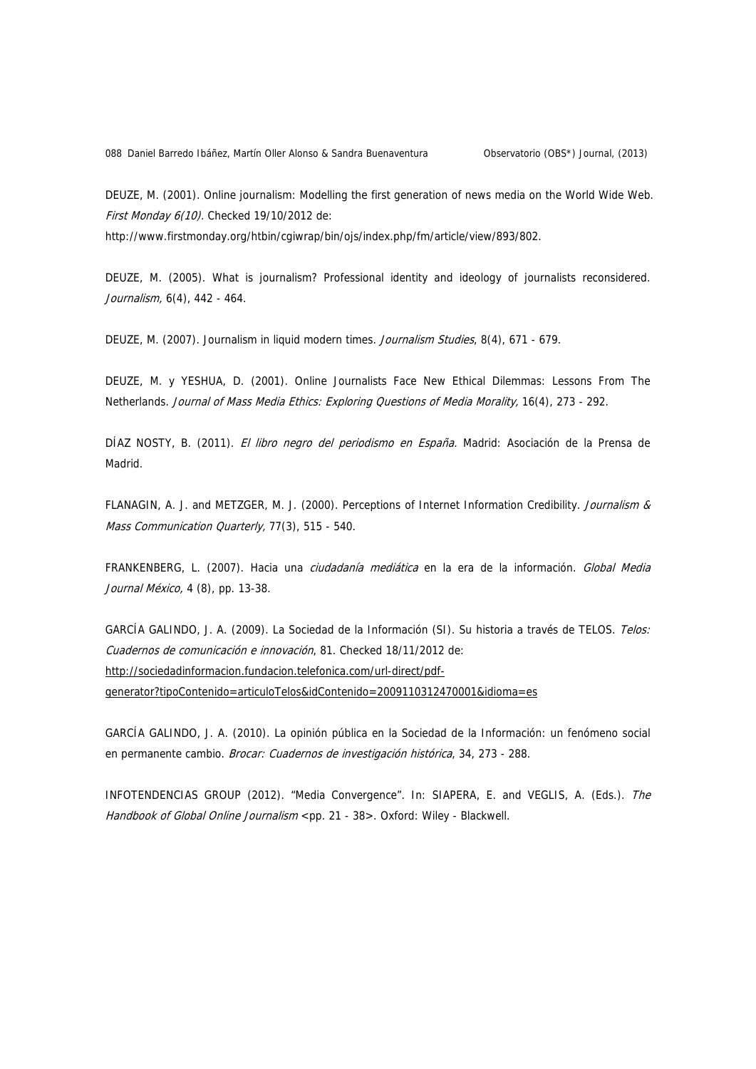088 Daniel Barredo Ibáñez, Martín Oller Alonso & Sandra Buenaventura Observatorio (OBS\*) Journal, (2013)

DEUZE, M. (2001). Online journalism: Modelling the first generation of news media on the World Wide Web. First Monday 6(10). Checked 19/10/2012 de:

http://www.firstmonday.org/htbin/cgiwrap/bin/ojs/index.php/fm/article/view/893/802.

DEUZE, M. (2005). What is journalism? Professional identity and ideology of journalists reconsidered. Journalism, 6(4), 442 - 464.

DEUZE, M. (2007). Journalism in liquid modern times. Journalism Studies, 8(4), 671 - 679.

DEUZE, M. y YESHUA, D. (2001). Online Journalists Face New Ethical Dilemmas: Lessons From The Netherlands. Journal of Mass Media Ethics: Exploring Questions of Media Morality, 16(4), 273 - 292.

DÍAZ NOSTY, B. (2011). El libro negro del periodismo en España. Madrid: Asociación de la Prensa de Madrid.

FLANAGIN, A. J. and METZGER, M. J. (2000). Perceptions of Internet Information Credibility. Journalism & Mass Communication Quarterly, 77(3), 515 - 540.

FRANKENBERG, L. (2007). Hacia una *ciudadanía mediática* en la era de la información. *Global Media* Journal México, 4 (8), pp. 13-38.

GARCÍA GALINDO, J. A. (2009). La Sociedad de la Información (SI). Su historia a través de TELOS. Telos: Cuadernos de comunicación e innovación, 81. Checked 18/11/2012 de: [http://sociedadinformacion.fundacion.telefonica.com/url-direct/pdf](http://sociedadinformacion.fundacion.telefonica.com/url-direct/pdf-generator?tipoContenido=articuloTelos&idContenido=2009110312470001&idioma=es)[generator?tipoContenido=articuloTelos&idContenido=2009110312470001&idioma=es](http://sociedadinformacion.fundacion.telefonica.com/url-direct/pdf-generator?tipoContenido=articuloTelos&idContenido=2009110312470001&idioma=es)

GARCÍA GALINDO, J. A. (2010). La opinión pública en la Sociedad de la Información: un fenómeno social en permanente cambio. Brocar: Cuadernos de investigación histórica, 34, 273 - 288.

INFOTENDENCIAS GROUP (2012). "Media Convergence". In: SIAPERA, E. and VEGLIS, A. (Eds.). The Handbook of Global Online Journalism <pp. 21 - 38>. Oxford: Wiley - Blackwell.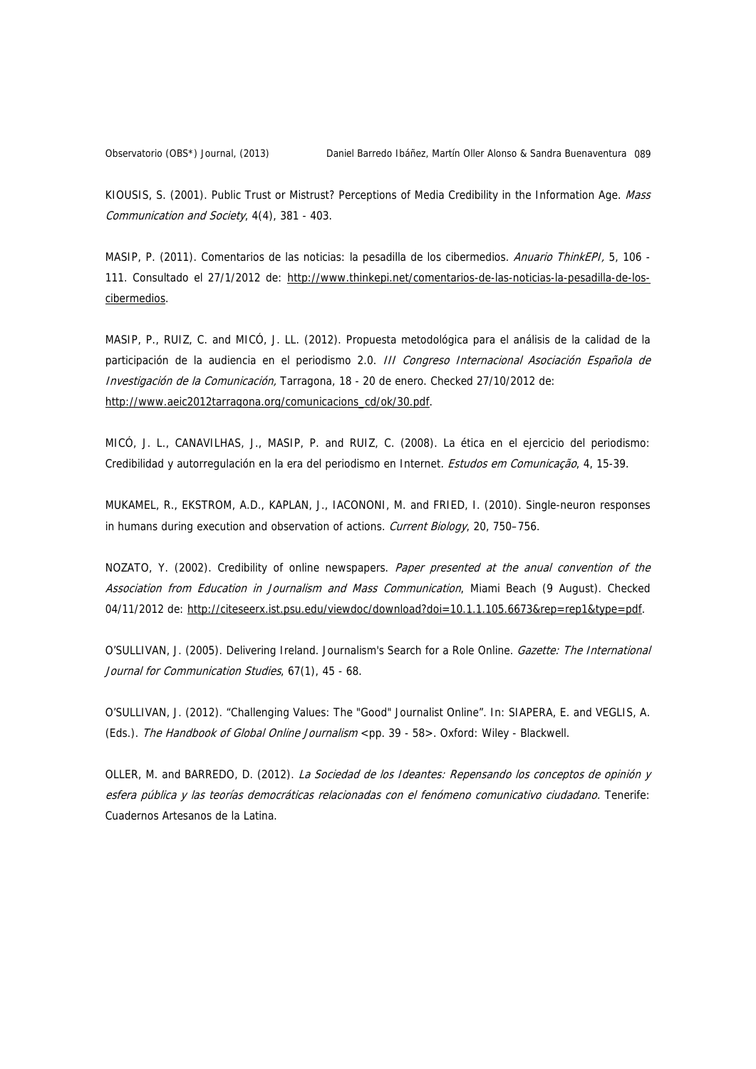KIOUSIS, S. (2001). Public Trust or Mistrust? Perceptions of Media Credibility in the Information Age. Mass Communication and Society, 4(4), 381 - 403.

MASIP, P. (2011). Comentarios de las noticias: la pesadilla de los cibermedios. Anuario ThinkEPI, 5, 106 -111. Consultado el 27/1/2012 de: [http://www.thinkepi.net/comentarios-de-las-noticias-la-pesadilla-de-los](http://www.thinkepi.net/comentarios-de-las-noticias-la-pesadilla-de-los-cibermedios)[cibermedios](http://www.thinkepi.net/comentarios-de-las-noticias-la-pesadilla-de-los-cibermedios).

MASIP, P., RUIZ, C. and MICÓ, J. LL. (2012). Propuesta metodológica para el análisis de la calidad de la participación de la audiencia en el periodismo 2.0. III Congreso Internacional Asociación Española de Investigación de la Comunicación, Tarragona, 18 - 20 de enero. Checked 27/10/2012 de: [http://www.aeic2012tarragona.org/comunicacions\\_cd/ok/30.pdf](http://www.aeic2012tarragona.org/comunicacions_cd/ok/30.pdf).

MICÓ, J. L., CANAVILHAS, J., MASIP, P. and RUIZ, C. (2008). La ética en el ejercicio del periodismo: Credibilidad y autorregulación en la era del periodismo en Internet. Estudos em Comunicação, 4, 15-39.

MUKAMEL, R., EKSTROM, A.D., KAPLAN, J., IACONONI, M. and FRIED, I. (2010). Single-neuron responses in humans during execution and observation of actions. Current Biology, 20, 750–756.

NOZATO, Y. (2002). Credibility of online newspapers. Paper presented at the anual convention of the Association from Education in Journalism and Mass Communication, Miami Beach (9 August). Checked 04/11/2012 de: [http://citeseerx.ist.psu.edu/viewdoc/download?doi=10.1.1.105.6673&rep=rep1&type=pdf.](http://citeseerx.ist.psu.edu/viewdoc/download?doi=10.1.1.105.6673&rep=rep1&type=pdf)

O'SULLIVAN, J. (2005). Delivering Ireland. Journalism's Search for a Role Online. Gazette: The International Journal for Communication Studies, 67(1), 45 - 68.

O'SULLIVAN, J. (2012). "Challenging Values: The "Good" Journalist Online". In: SIAPERA, E. and VEGLIS, A. (Eds.). The Handbook of Global Online Journalism <pp. 39 - 58>. Oxford: Wiley - Blackwell.

OLLER, M. and BARREDO, D. (2012). La Sociedad de los Ideantes: Repensando los conceptos de opinión y esfera pública y las teorías democráticas relacionadas con el fenómeno comunicativo ciudadano. Tenerife: Cuadernos Artesanos de la Latina.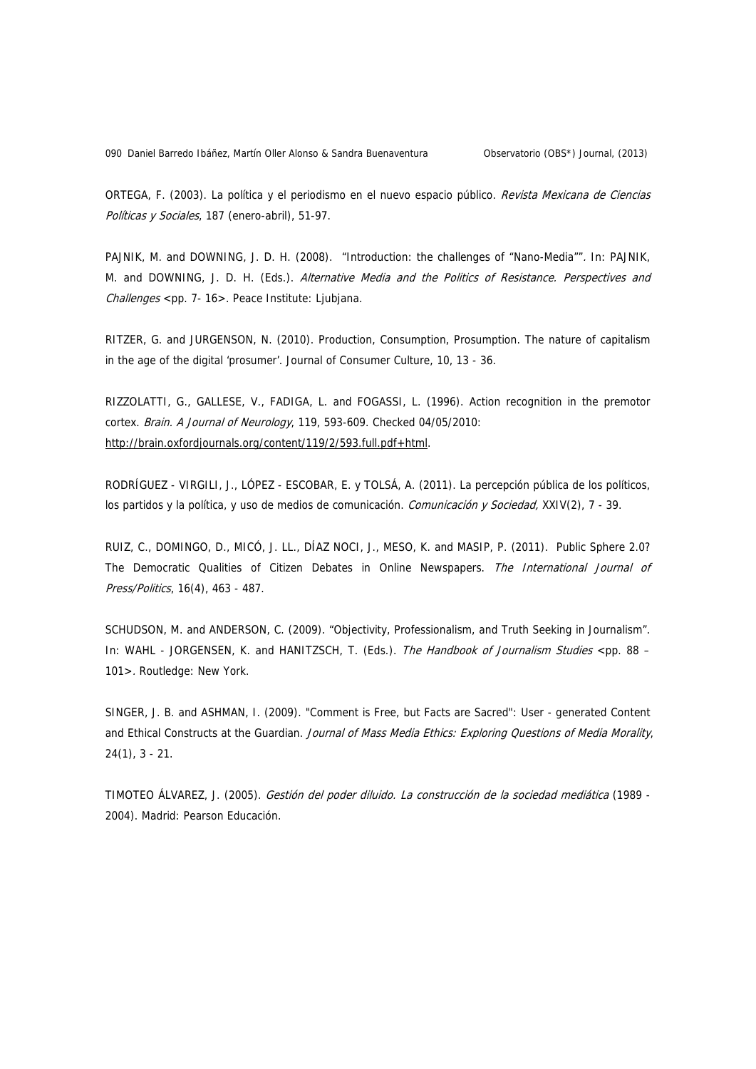090 Daniel Barredo Ibáñez, Martín Oller Alonso & Sandra Buenaventura Observatorio (OBS\*) Journal, (2013)

ORTEGA, F. (2003). La política y el periodismo en el nuevo espacio público. Revista Mexicana de Ciencias Políticas y Sociales, 187 (enero-abril), 51-97.

PAJNIK, M. and DOWNING, J. D. H. (2008). "Introduction: the challenges of "Nano-Media"". In: PAJNIK, M. and DOWNING, J. D. H. (Eds.). Alternative Media and the Politics of Resistance. Perspectives and Challenges <pp. 7- 16>. Peace Institute: Ljubjana.

RITZER, G. and JURGENSON, N. (2010). Production, Consumption, Prosumption. The nature of capitalism in the age of the digital 'prosumer'. Journal of Consumer Culture, 10, 13 - 36.

RIZZOLATTI, G., GALLESE, V., FADIGA, L. and FOGASSI, L. (1996). Action recognition in the premotor cortex. Brain. A Journal of Neurology, 119, 593-609. Checked 04/05/2010: [http://brain.oxfordjournals.org/content/119/2/593.full.pdf+html.](http://brain.oxfordjournals.org/content/119/2/593.full.pdf+html)

RODRÍGUEZ - VIRGILI, J., LÓPEZ - ESCOBAR, E. y TOLSÁ, A. (2011). La percepción pública de los políticos, los partidos y la política, y uso de medios de comunicación. Comunicación y Sociedad, XXIV(2), 7 - 39.

RUIZ, C., DOMINGO, D., MICÓ, J. LL., DÍAZ NOCI, J., MESO, K. and MASIP, P. (2011). Public Sphere 2.0? The Democratic Qualities of Citizen Debates in Online Newspapers. The International Journal of Press/Politics, 16(4), 463 - 487.

SCHUDSON, M. and ANDERSON, C. (2009). "Objectivity, Professionalism, and Truth Seeking in Journalism". In: WAHL - JORGENSEN, K. and HANITZSCH, T. (Eds.). The Handbook of Journalism Studies <pp. 88 – 101>. Routledge: New York.

SINGER, J. B. and ASHMAN, I. (2009). "Comment is Free, but Facts are Sacred": User - generated Content and Ethical Constructs at the Guardian. Journal of Mass Media Ethics: Exploring Questions of Media Morality, 24(1), 3 - 21.

TIMOTEO ÁLVAREZ, J. (2005). Gestión del poder diluido. La construcción de la sociedad mediática (1989 - 2004). Madrid: Pearson Educación.